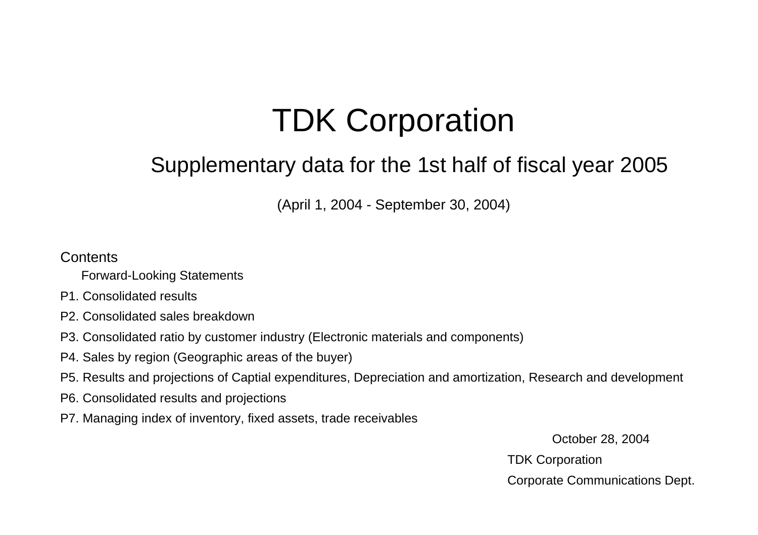# TDK Cor poration

## Supplementary data for the 1st half of fiscal year 2005

(April 1, 2004 - September 30, 2004)

#### **Contents**

- Forward-Looking Statements
- P1. Consolidated results
- P2. Consolidated sales breakdown
- P3. Consolidated ratio by customer industry (Electronic materials and components)
- P4. Sales by region (Geographic areas of the buyer)
- P5. Results and projections of Captial expenditures, Depreciation and amortization, Research and development
- P6. Consolidated results and projections
- P7. Managing index of inventory, fixed assets, trade receivables

October 28, 2004 TDK Corporation Corporate Communications Dept.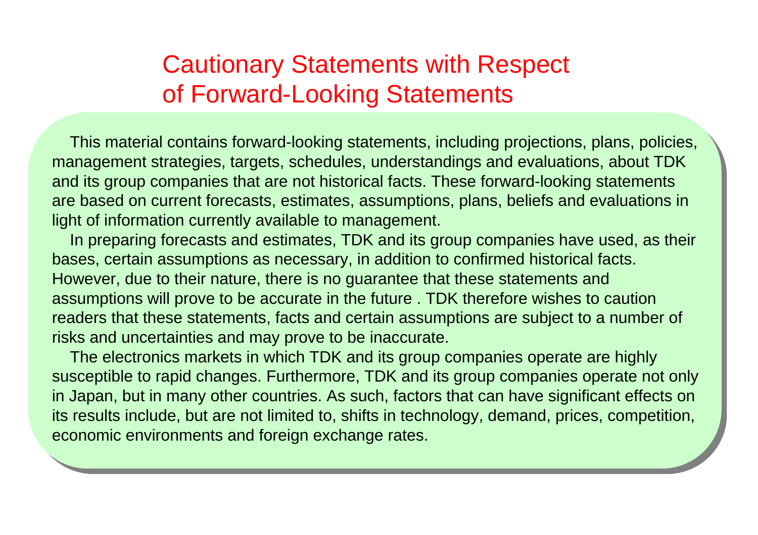## Cautionary Statements with Respect of Forward-Looking Statements

 This material contains forward-looking statements, including projections, plans, policies, management strategies, targets, schedules, understandings and evaluations, about TDK and its group companies that are not historical facts. These forward-looking statements are based on current forecasts, estimates, assumptions, plans, beliefs and evaluations in light of information currently available to management.

 In preparing forecasts and estimates, TDK and its group companies have used, as their bases, certain assumptions as necessary, in addition to confirmed historical facts. However, due to their nature, there is no guarantee that these statements and assumptions will prove to be accurate in the future . TDK therefore wishes to caution readers that these statements, facts and certain assumptions are subject to a number of risks and uncertainties and may prove to be inaccurate.

 The electronics markets in which TDK and its group companies operate are highly susceptible to rapid changes. Furthermore, TDK and its group companies operate not only in Japan, but in many other countries. As such, factors that can have significant effects on its results include, but are not limited to, shifts in technology, demand, prices, competition, economic environments and foreign exchange rates.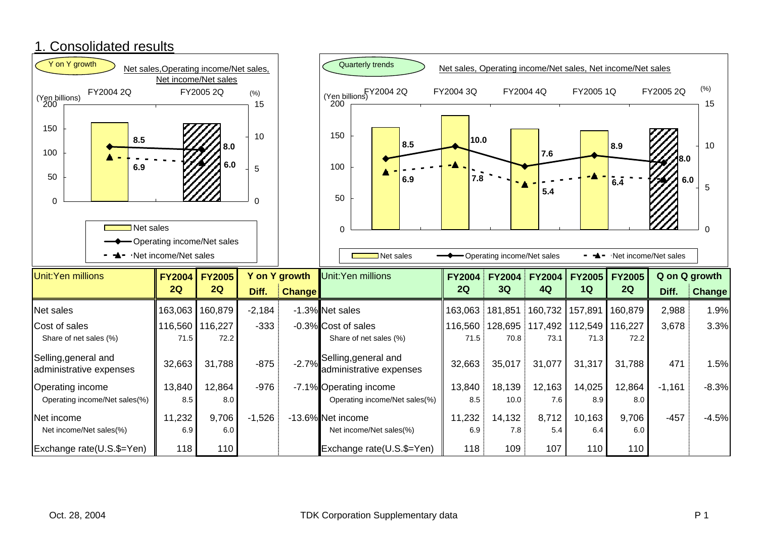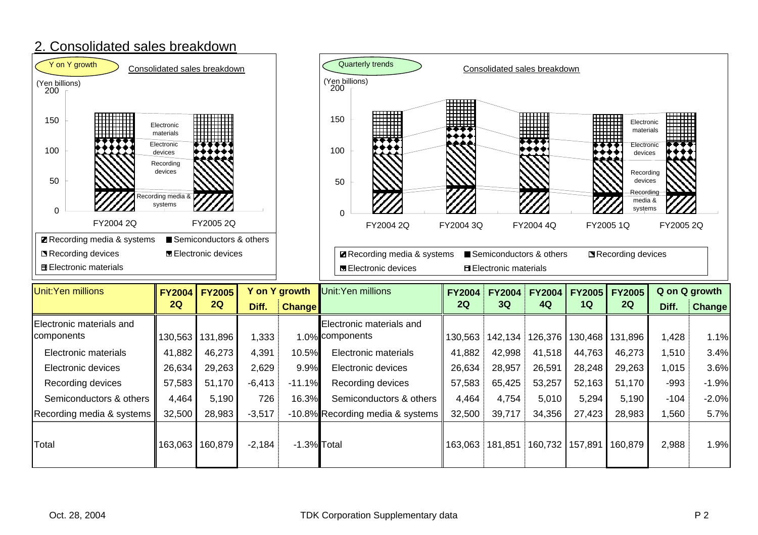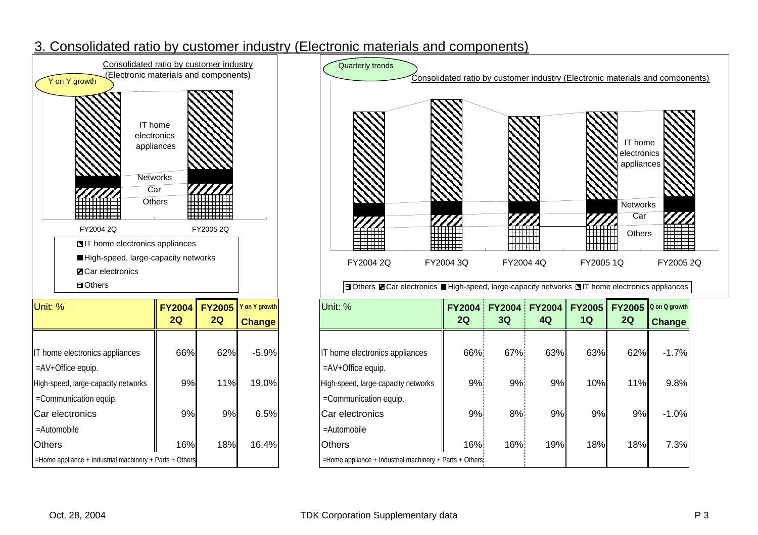### 3. Consolidated ratio by customer industry (Electronic materials and components)

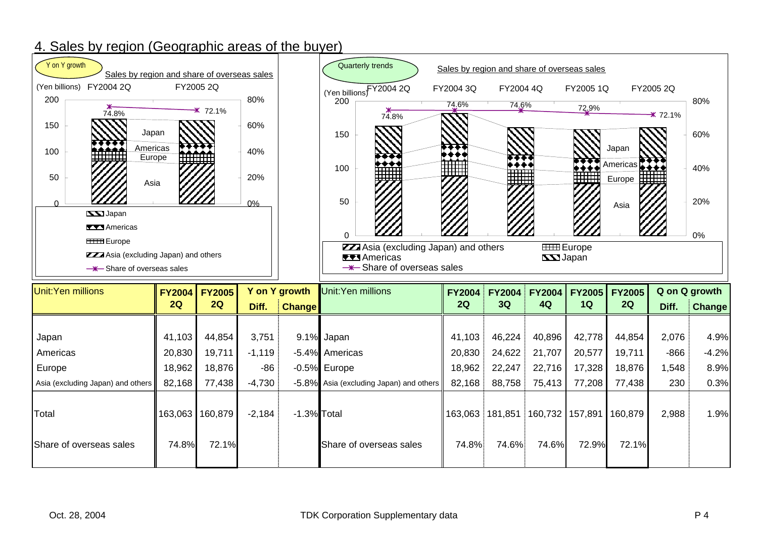### 4. Sales by region (Geographic areas of the buyer)

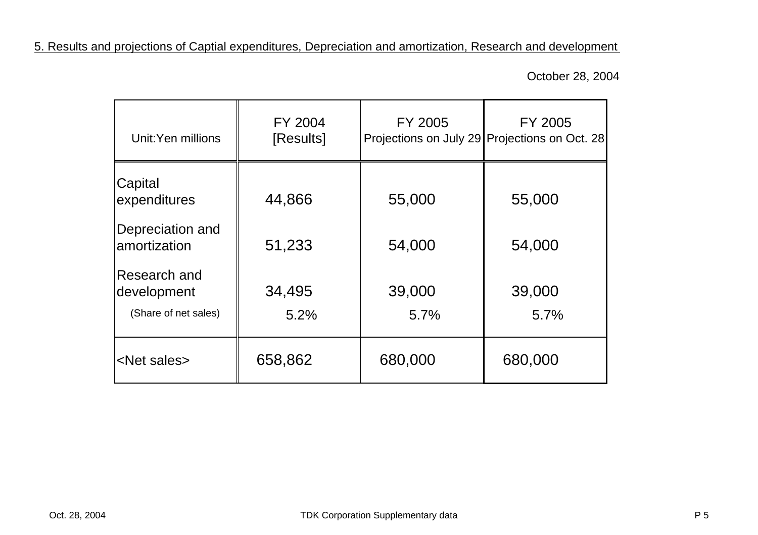5. Results and projections of Captial expenditures, Depreciation and amortization, Research and development

October 28, 2004

| Unit:Yen millions                                   | FY 2004<br>[Results] | FY 2005        | FY 2005<br>Projections on July 29 Projections on Oct. 28 |
|-----------------------------------------------------|----------------------|----------------|----------------------------------------------------------|
| Capital<br>expenditures                             | 44,866               | 55,000         | 55,000                                                   |
| Depreciation and<br>amortization                    | 51,233               | 54,000         | 54,000                                                   |
| Research and<br>development<br>(Share of net sales) | 34,495<br>5.2%       | 39,000<br>5.7% | 39,000<br>5.7%                                           |
| <net sales=""></net>                                | 658,862              | 680,000        | 680,000                                                  |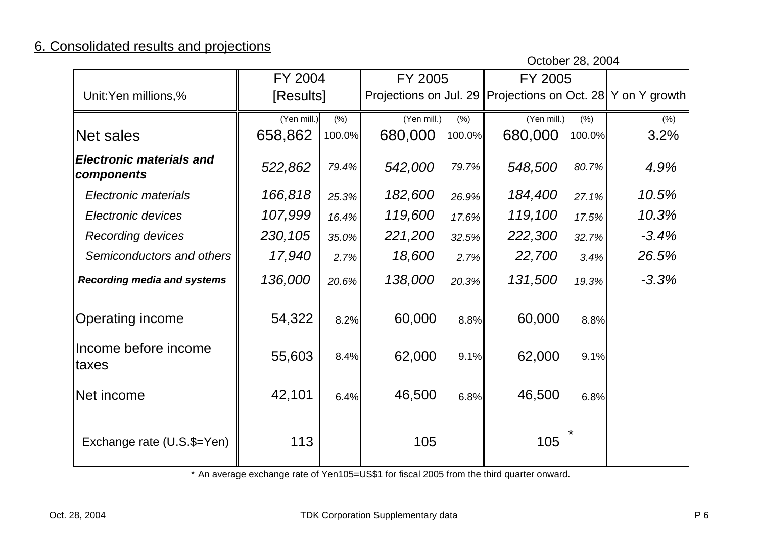## 6. Consolidated results and projections

October 28, 2004

|                                               | FY 2004     |        | FY 2005     |        | FY 2005                                                     |        |         |
|-----------------------------------------------|-------------|--------|-------------|--------|-------------------------------------------------------------|--------|---------|
| Unit:Yen millions,%                           | [Results]   |        |             |        | Projections on Jul. 29 Projections on Oct. 28 Y on Y growth |        |         |
|                                               | (Yen mill.) | (% )   | (Yen mill.) | (% )   | $(Yen$ mill.)                                               | (% )   | (% )    |
| Net sales                                     | 658,862     | 100.0% | 680,000     | 100.0% | 680,000                                                     | 100.0% | 3.2%    |
| <b>Electronic materials and</b><br>components | 522,862     | 79.4%  | 542,000     | 79.7%  | 548,500                                                     | 80.7%  | 4.9%    |
| Electronic materials                          | 166,818     | 25.3%  | 182,600     | 26.9%  | 184,400                                                     | 27.1%  | 10.5%   |
| Electronic devices                            | 107,999     | 16.4%  | 119,600     | 17.6%  | 119,100                                                     | 17.5%  | 10.3%   |
| <b>Recording devices</b>                      | 230,105     | 35.0%  | 221,200     | 32.5%  | 222,300                                                     | 32.7%  | $-3.4%$ |
| Semiconductors and others                     | 17,940      | 2.7%   | 18,600      | 2.7%   | 22,700                                                      | 3.4%   | 26.5%   |
| <b>Recording media and systems</b>            | 136,000     | 20.6%  | 138,000     | 20.3%  | 131,500                                                     | 19.3%  | $-3.3%$ |
| Operating income                              | 54,322      | 8.2%   | 60,000      | 8.8%   | 60,000                                                      | 8.8%   |         |
| Income before income<br>taxes                 | 55,603      | 8.4%   | 62,000      | 9.1%   | 62,000                                                      | 9.1%   |         |
| Net income                                    | 42,101      | 6.4%   | 46,500      | 6.8%   | 46,500                                                      | 6.8%   |         |
| Exchange rate (U.S.\$=Yen)                    | 113         |        | 105         |        | 105                                                         | *      |         |

\* An average exchange rate of Yen105=US\$1 for fiscal 2005 from the third quarter onward.